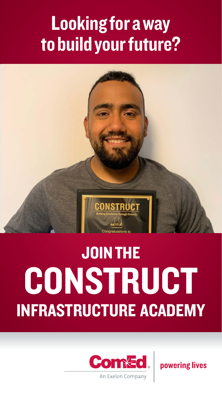# Looking for a way to build your future?



# JOIN THE **CONSTRUCT** INFRASTRUCTURE ACADEMY



powering lives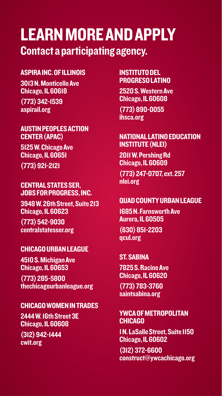# LEARN MORE AND APPLY Contact a participating agency.

## ASPIRA INC. OF ILLINOIS

3013 N. Monticello Ave Chicago, IL 60618

(773) 342-1539 [aspirail.org](http://aspirail.org)

#### AUSTIN PEOPLES ACTION CENTER (APAC)

5125 W. Chicago Ave Chicago, IL 60651 (773) 921-2121

#### CENTRAL STATES SER, JOBS FOR PROGRESS, INC.

3948 W. 26th Street, Suite 213 Chicago, IL 60623

(773) 542-9030 [centralstatesser.org](http://centralstatesser.org)

## CHICAGO URBAN LEAGUE

4510 S. Michigan Ave Chicago, IL 60653 (773) 285-5800

[thechicagourbanleague.org](http://thechicagourbanleague.org)

## CHICAGO WOMEN IN TRADES

2444 W. 16th Street 3E Chicago, IL 60608

(312) 942-1444 [cwit.org](http://cwit.org)

## INSTITUTO DEL PROGRESO LATINO

2520 S. Western Ave Chicago, IL 60608 (773) 890-0055 [ihsca.org](http://ihsca.org)

## NATIONAL LATINO EDUCATION INSTITUTE (NLEI)

2011 W. Pershing Rd Chicago, IL 60609

(773) 247-0707, ext. 257 [nlei.org](http://nlei.org)

## QUAD COUNTY URBAN LEAGUE

1685 N. Farnsworth Ave Aurora, IL 60505 (630) 851-2203 [qcul.org](http://qcul.org)

## ST. SABINA

7825 S. Racine Ave Chicago, IL 60620

(773) 783-3760 [saintsabina.org](http://saintsabina.org) 

### YWCA OF METROPOLITAN **CHICAGO**

1 N. LaSalle Street, Suite 1150 Chicago, IL 60602

(312) 372-6600 [construct@ywcachicago.org](mailto:construct@ywcachicago.org)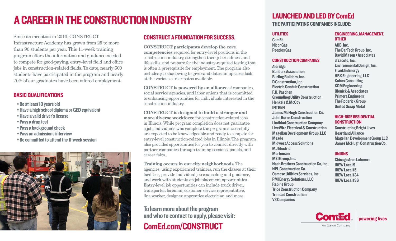# A CAREER IN THE CONSTRUCTION INDUSTRY

Since its inception in 2013, CONSTRUCT Infrastructure Academy has grown from 25 to more than 90 students per year. This 11-week training program offers the information and guidance needed to compete for good-paying, entry-level field and office jobs in construction-related fields. To date, nearly 600 students have participated in the program and nearly 70% of our graduates have been offered employment.

## BASIC QUALIFICATIONS

- Be at least 18 years old
- Have a high school diploma or GED equivalent
- Have a valid driver's license
- Pass a drug test
- Pass a background check
- Pass an admissions interview
- Be committed to attend the 11-week session



## CONSTRUCT A FOUNDATION FOR SUCCESS.

**CONSTRUCT participants develop the core competencies** required for entry-level positions in the construction industry, strengthen their job readiness and life skills, and prepare for the industry-required testing that is often a prerequisite for employment. The program also includes job shadowing to give candidates an up-close look at the various career paths available.

**CONSTRUCT is powered by an alliance** of companies, social service agencies, and labor unions that is committed to enhancing opportunities for individuals interested in the construction industry.

**CONSTRUCT is designed to build a stronger and more diverse workforce** for construction-related jobs in Illinois. While program completion does not guarantee a job, individuals who complete the program successfully are expected to be knowledgeable and ready to compete for entry-level construction-related jobs in Illinois. The program also provides opportunities for you to connect directly with partner companies through training sessions, panels, and career fairs.

**Training occurs in our city neighborhoods**. The agencies, using experienced trainers, run the classes at their facilities, provide individual job counseling and guidance, and work with students on job placement opportunities. Entry-level job opportunities can include truck driver, transporter, foreman, customer service representative, line worker, designer, apprentice electrician and more.

## To learn more about the program and who to contact to apply, please visit: [ComEd.com/CONSTRUCT](http://ComEd.com/Construct)

# LAUNCHED AND LED BY ComEd

THE PARTICIPATING COMPANIES INCLUDE:

## UTILITIES

Aldridge

ComEd Nicor Gas Peoples Gas

## CONSTRUCTION COMPANIES

Builders Association Burling Builders, Inc. D Construction, Inc. Electric Conduit Construction F.H. Paschen Groundhog Utility Construction Henkels & McCoy INTREN James McHugh Construction Co. John Burns Construction Lindblad Construction Company LiveWire Electrical & Construction Magellan Development Group, LLC **Meade** Midwest Access Solutions MJ Electric **Mortenson** MZI Group, Inc. Nash Brothers Construction Co, Inc. NPL Construction Co. Osmose Utilities Services, Inc. PMI Energy Solutions, LLC Rabine Group Trice Construction Company Trinidad Construction V3 Companies

### ENGINEERING, MANAGEMENT, **OTHER**

ABB, Inc. The BarTech Group, Inc. David Mason + Associates d'Escoto, Inc. Environmental Design, Inc. Franklin Energy HBK Engineering, LLC Kairos Consulting KDM Engineering Olenick & Associates Primera Engineers The Roderick Group United Scrap Metal

## HIGH-RISE RESIDENTIAL **CONSTRUCTION**

Constructing Bright Lives Heartland Alliance Magellan Development Group LLC James McHugh Construction Co.

## UNIONS

Chicago Area Laborers IBEW Local 9 IBEW Local 15 IBEW Local 134 IBEW Local 196



**powering lives**